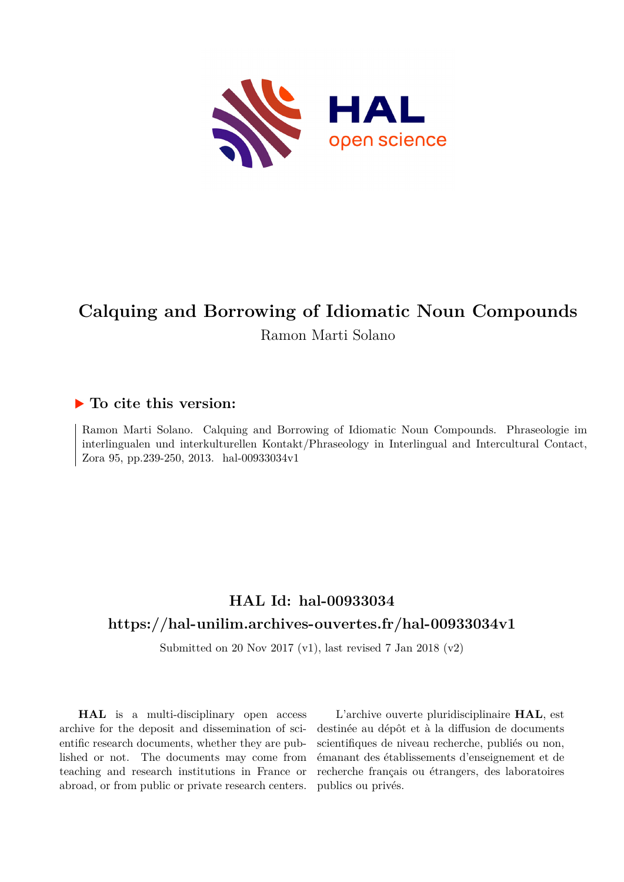

# **Calquing and Borrowing of Idiomatic Noun Compounds** Ramon Marti Solano

### **To cite this version:**

Ramon Marti Solano. Calquing and Borrowing of Idiomatic Noun Compounds. Phraseologie im interlingualen und interkulturellen Kontakt/Phraseology in Interlingual and Intercultural Contact, Zora 95, pp.239-250, 2013. hal-00933034v1

## **HAL Id: hal-00933034 <https://hal-unilim.archives-ouvertes.fr/hal-00933034v1>**

Submitted on 20 Nov 2017 (v1), last revised 7 Jan 2018 (v2)

**HAL** is a multi-disciplinary open access archive for the deposit and dissemination of scientific research documents, whether they are published or not. The documents may come from teaching and research institutions in France or abroad, or from public or private research centers.

L'archive ouverte pluridisciplinaire **HAL**, est destinée au dépôt et à la diffusion de documents scientifiques de niveau recherche, publiés ou non, émanant des établissements d'enseignement et de recherche français ou étrangers, des laboratoires publics ou privés.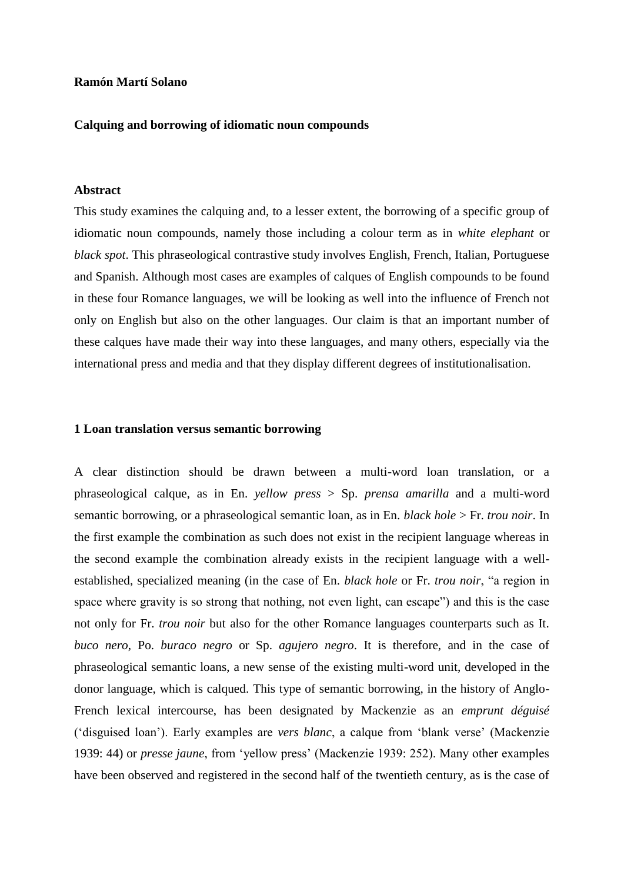#### **Ramón Martí Solano**

#### **Calquing and borrowing of idiomatic noun compounds**

#### **Abstract**

This study examines the calquing and, to a lesser extent, the borrowing of a specific group of idiomatic noun compounds, namely those including a colour term as in *white elephant* or *black spot*. This phraseological contrastive study involves English, French, Italian, Portuguese and Spanish. Although most cases are examples of calques of English compounds to be found in these four Romance languages, we will be looking as well into the influence of French not only on English but also on the other languages. Our claim is that an important number of these calques have made their way into these languages, and many others, especially via the international press and media and that they display different degrees of institutionalisation.

#### **1 Loan translation versus semantic borrowing**

A clear distinction should be drawn between a multi-word loan translation, or a phraseological calque, as in En. *yellow press* > Sp. *prensa amarilla* and a multi-word semantic borrowing, or a phraseological semantic loan, as in En. *black hole* > Fr. *trou noir*. In the first example the combination as such does not exist in the recipient language whereas in the second example the combination already exists in the recipient language with a wellestablished, specialized meaning (in the case of En. *black hole* or Fr. *trou noir*, "a region in space where gravity is so strong that nothing, not even light, can escape") and this is the case not only for Fr. *trou noir* but also for the other Romance languages counterparts such as It. *buco nero*, Po. *buraco negro* or Sp. *agujero negro*. It is therefore, and in the case of phraseological semantic loans, a new sense of the existing multi-word unit, developed in the donor language, which is calqued. This type of semantic borrowing, in the history of Anglo-French lexical intercourse, has been designated by Mackenzie as an *emprunt déguisé*  ('disguised loan'). Early examples are *vers blanc*, a calque from 'blank verse' (Mackenzie 1939: 44) or *presse jaune*, from 'yellow press' (Mackenzie 1939: 252). Many other examples have been observed and registered in the second half of the twentieth century, as is the case of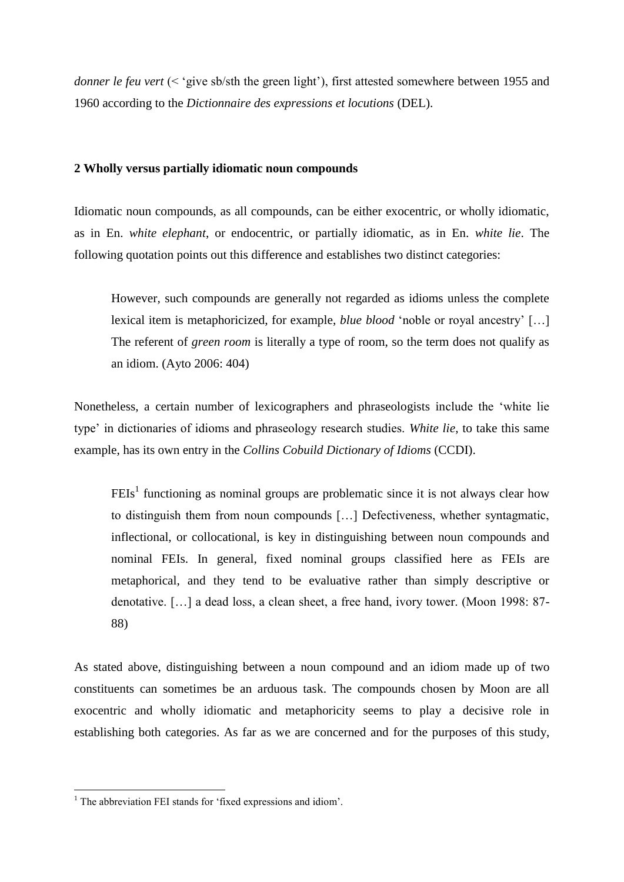*donner le feu vert* (< 'give sb/sth the green light'), first attested somewhere between 1955 and 1960 according to the *Dictionnaire des expressions et locutions* (DEL).

#### **2 Wholly versus partially idiomatic noun compounds**

Idiomatic noun compounds, as all compounds, can be either exocentric, or wholly idiomatic, as in En. *white elephant*, or endocentric, or partially idiomatic, as in En. *white lie*. The following quotation points out this difference and establishes two distinct categories:

However, such compounds are generally not regarded as idioms unless the complete lexical item is metaphoricized, for example, *blue blood* 'noble or royal ancestry' […] The referent of *green room* is literally a type of room, so the term does not qualify as an idiom. (Ayto 2006: 404)

Nonetheless, a certain number of lexicographers and phraseologists include the 'white lie type' in dictionaries of idioms and phraseology research studies. *White lie*, to take this same example, has its own entry in the *Collins Cobuild Dictionary of Idioms* (CCDI).

 $F E Is<sup>1</sup>$  functioning as nominal groups are problematic since it is not always clear how to distinguish them from noun compounds […] Defectiveness, whether syntagmatic, inflectional, or collocational, is key in distinguishing between noun compounds and nominal FEIs. In general, fixed nominal groups classified here as FEIs are metaphorical, and they tend to be evaluative rather than simply descriptive or denotative. […] a dead loss, a clean sheet, a free hand, ivory tower. (Moon 1998: 87- 88)

As stated above, distinguishing between a noun compound and an idiom made up of two constituents can sometimes be an arduous task. The compounds chosen by Moon are all exocentric and wholly idiomatic and metaphoricity seems to play a decisive role in establishing both categories. As far as we are concerned and for the purposes of this study,

1

 $1$  The abbreviation FEI stands for 'fixed expressions and idiom'.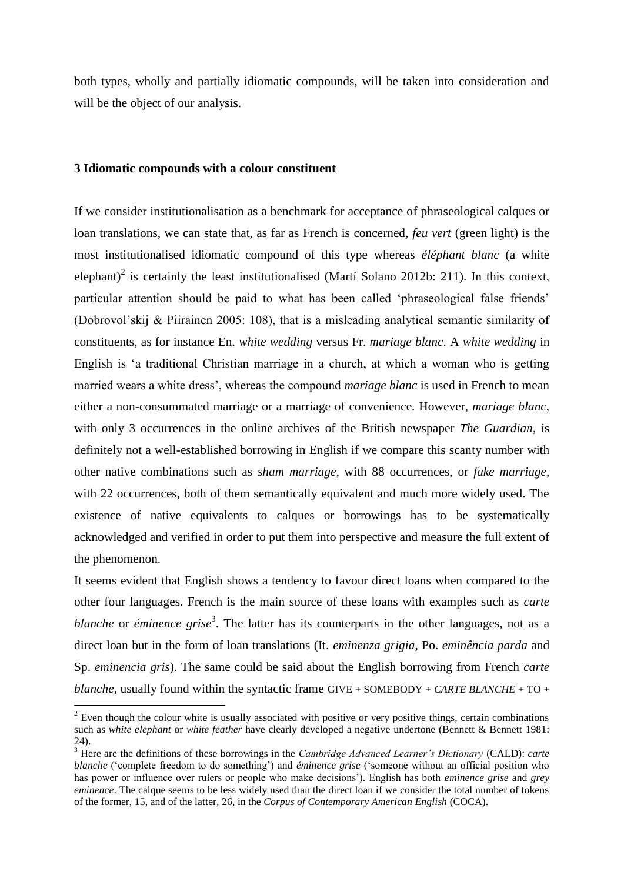both types, wholly and partially idiomatic compounds, will be taken into consideration and will be the object of our analysis.

#### **3 Idiomatic compounds with a colour constituent**

<u>.</u>

If we consider institutionalisation as a benchmark for acceptance of phraseological calques or loan translations, we can state that, as far as French is concerned, *feu vert* (green light) is the most institutionalised idiomatic compound of this type whereas *éléphant blanc* (a white elephant)<sup>2</sup> is certainly the least institutionalised (Martí Solano 2012b: 211). In this context, particular attention should be paid to what has been called 'phraseological false friends' (Dobrovol'skij & Piirainen 2005: 108), that is a misleading analytical semantic similarity of constituents, as for instance En. *white wedding* versus Fr. *mariage blanc*. A *white wedding* in English is 'a traditional Christian marriage in a church, at which a woman who is getting married wears a white dress', whereas the compound *mariage blanc* is used in French to mean either a non-consummated marriage or a marriage of convenience. However, *mariage blanc*, with only 3 occurrences in the online archives of the British newspaper *The Guardian*, is definitely not a well-established borrowing in English if we compare this scanty number with other native combinations such as *sham marriage*, with 88 occurrences, or *fake marriage*, with 22 occurrences, both of them semantically equivalent and much more widely used. The existence of native equivalents to calques or borrowings has to be systematically acknowledged and verified in order to put them into perspective and measure the full extent of the phenomenon.

It seems evident that English shows a tendency to favour direct loans when compared to the other four languages. French is the main source of these loans with examples such as *carte*  blanche or éminence grise<sup>3</sup>. The latter has its counterparts in the other languages, not as a direct loan but in the form of loan translations (It. *eminenza grigia*, Po. *eminência parda* and Sp. *eminencia gris*). The same could be said about the English borrowing from French *carte blanche*, usually found within the syntactic frame GIVE + SOMEBODY + *CARTE BLANCHE* + TO +

 $2$  Even though the colour white is usually associated with positive or very positive things, certain combinations such as *white elephant* or *white feather* have clearly developed a negative undertone (Bennett & Bennett 1981: 24).

<sup>3</sup> Here are the definitions of these borrowings in the *Cambridge Advanced Learner's Dictionary* (CALD): *carte blanche* ('complete freedom to do something') and *éminence grise* ('someone without an official position who has power or influence over rulers or people who make decisions'). English has both *eminence grise* and *grey eminence*. The calque seems to be less widely used than the direct loan if we consider the total number of tokens of the former, 15, and of the latter, 26, in the *Corpus of Contemporary American English* (COCA).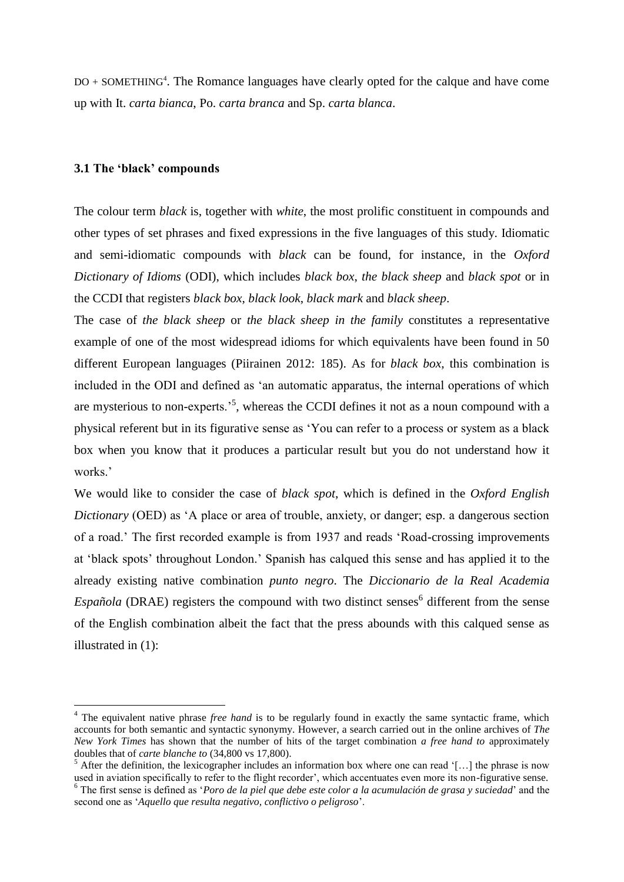DO + SOMETHING<sup>4</sup>. The Romance languages have clearly opted for the calque and have come up with It. *carta bianca*, Po. *carta branca* and Sp. *carta blanca*.

#### **3.1 The 'black' compounds**

<u>.</u>

The colour term *black* is, together with *white*, the most prolific constituent in compounds and other types of set phrases and fixed expressions in the five languages of this study. Idiomatic and semi-idiomatic compounds with *black* can be found, for instance, in the *Oxford Dictionary of Idioms* (ODI), which includes *black box*, *the black sheep* and *black spot* or in the CCDI that registers *black box*, *black look*, *black mark* and *black sheep*.

The case of *the black sheep* or *the black sheep in the family* constitutes a representative example of one of the most widespread idioms for which equivalents have been found in 50 different European languages (Piirainen 2012: 185). As for *black box*, this combination is included in the ODI and defined as 'an automatic apparatus, the internal operations of which are mysterious to non-experts.<sup>5</sup>, whereas the CCDI defines it not as a noun compound with a physical referent but in its figurative sense as 'You can refer to a process or system as a black box when you know that it produces a particular result but you do not understand how it works.'

We would like to consider the case of *black spot*, which is defined in the *Oxford English Dictionary* (OED) as 'A place or area of trouble, anxiety, or danger; esp. a dangerous section of a road.' The first recorded example is from 1937 and reads 'Road-crossing improvements at 'black spots' throughout London.' Spanish has calqued this sense and has applied it to the already existing native combination *punto negro*. The *Diccionario de la Real Academia*   $Espanïola$  (DRAE) registers the compound with two distinct senses<sup>6</sup> different from the sense of the English combination albeit the fact that the press abounds with this calqued sense as illustrated in (1):

<sup>&</sup>lt;sup>4</sup> The equivalent native phrase *free hand* is to be regularly found in exactly the same syntactic frame, which accounts for both semantic and syntactic synonymy. However, a search carried out in the online archives of *The New York Times* has shown that the number of hits of the target combination *a free hand to* approximately doubles that of *carte blanche to* (34,800 vs 17,800).

 $5$  After the definition, the lexicographer includes an information box where one can read '[...] the phrase is now used in aviation specifically to refer to the flight recorder', which accentuates even more its non-figurative sense. <sup>6</sup> The first sense is defined as '*Poro de la piel que debe este color a la acumulación de grasa y suciedad*' and the second one as '*Aquello que resulta negativo, conflictivo o peligroso*'.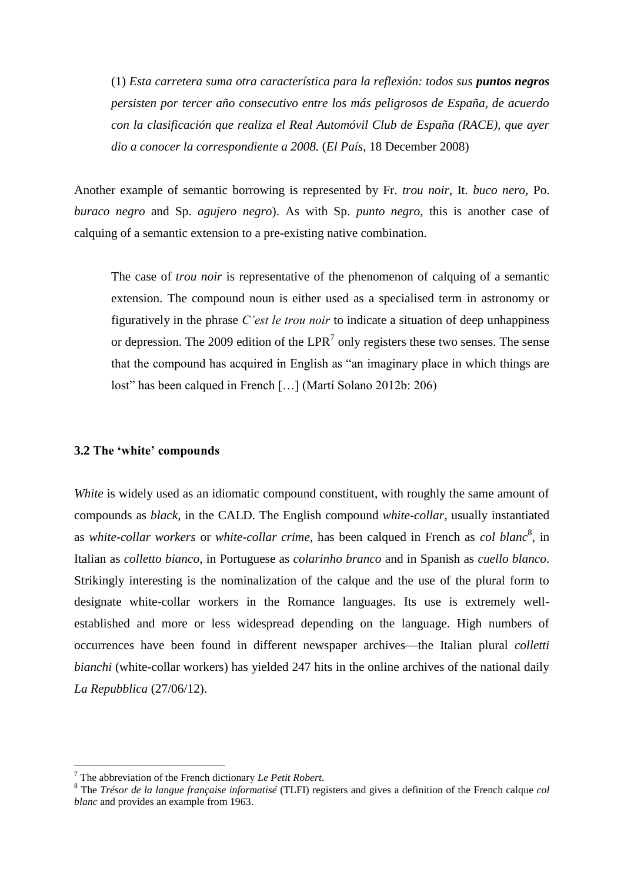(1) *Esta carretera suma otra característica para la reflexión: todos sus puntos negros persisten por tercer año consecutivo entre los más peligrosos de España, de acuerdo con la clasificación que realiza el Real Automóvil Club de España (RACE), que ayer dio a conocer la correspondiente a 2008.* (*El País*, 18 December 2008)

Another example of semantic borrowing is represented by Fr. *trou noir*, It. *buco nero*, Po. *buraco negro* and Sp. *agujero negro*). As with Sp. *punto negro*, this is another case of calquing of a semantic extension to a pre-existing native combination.

The case of *trou noir* is representative of the phenomenon of calquing of a semantic extension. The compound noun is either used as a specialised term in astronomy or figuratively in the phrase *C'est le trou noir* to indicate a situation of deep unhappiness or depression. The 2009 edition of the LPR<sup>7</sup> only registers these two senses. The sense that the compound has acquired in English as "an imaginary place in which things are lost" has been calqued in French […] (Martí Solano 2012b: 206)

#### **3.2 The 'white' compounds**

*White* is widely used as an idiomatic compound constituent, with roughly the same amount of compounds as *black*, in the CALD. The English compound *white-collar*, usually instantiated as *white-collar workers* or *white-collar crime*, has been calqued in French as *col blanc*<sup>8</sup> , in Italian as *colletto bianco*, in Portuguese as *colarinho branco* and in Spanish as *cuello blanco*. Strikingly interesting is the nominalization of the calque and the use of the plural form to designate white-collar workers in the Romance languages. Its use is extremely wellestablished and more or less widespread depending on the language. High numbers of occurrences have been found in different newspaper archives—the Italian plural *colletti bianchi* (white-collar workers) has yielded 247 hits in the online archives of the national daily *La Repubblica* (27/06/12).

1

<sup>7</sup> The abbreviation of the French dictionary *Le Petit Robert*.

<sup>8</sup> The *Trésor de la langue française informatisé* (TLFI) registers and gives a definition of the French calque *col blanc* and provides an example from 1963.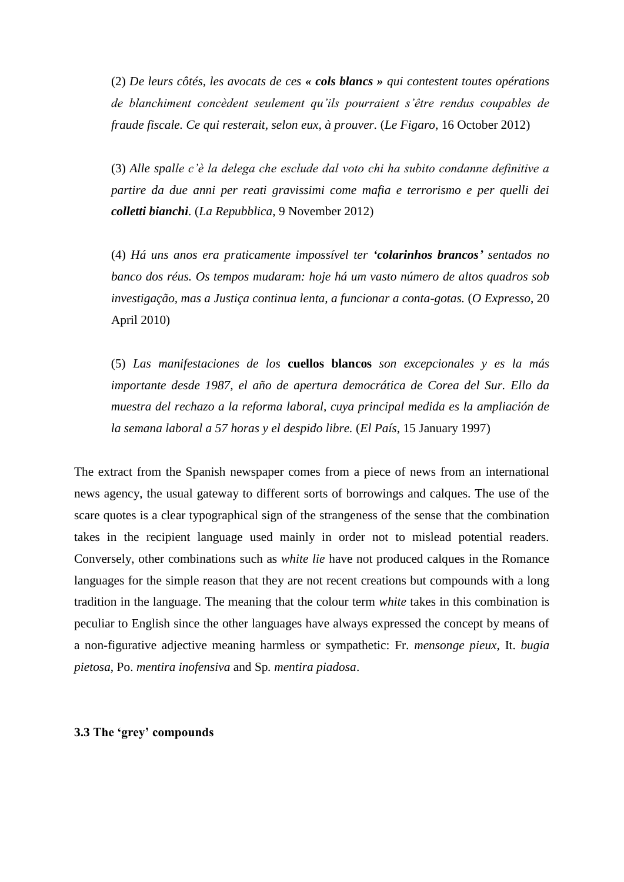(2) *De leurs côtés, les avocats de ces « cols blancs » qui contestent toutes opérations de blanchiment concèdent seulement qu'ils pourraient s'être rendus coupables de [fraude fiscale.](http://plus.lefigaro.fr/tag/fraude-fiscale) Ce qui resterait, selon eux, à prouver.* (*Le Figaro*, 16 October 2012)

(3) *Alle spalle c'è la delega che esclude dal voto chi ha subito condanne definitive a partire da due anni per reati gravissimi come mafia e terrorismo e per quelli dei colletti bianchi.* (*La Repubblica*, 9 November 2012)

(4) *Há uns anos era praticamente impossível ter 'colarinhos brancos' sentados no banco dos réus. Os tempos mudaram: hoje há um vasto número de altos quadros sob investigação, mas a Justiça continua lenta, a funcionar a conta-gotas.* (*O Expresso*, 20 April 2010)

(5) *Las manifestaciones de los* **cuellos blancos** *son excepcionales y es la más importante desde 1987, el año de apertura democrática de Corea del Sur. Ello da muestra del rechazo a la reforma laboral, cuya principal medida es la ampliación de la semana laboral a 57 horas y el despido libre.* (*El País*, 15 January 1997)

The extract from the Spanish newspaper comes from a piece of news from an international news agency, the usual gateway to different sorts of borrowings and calques. The use of the scare quotes is a clear typographical sign of the strangeness of the sense that the combination takes in the recipient language used mainly in order not to mislead potential readers. Conversely, other combinations such as *white lie* have not produced calques in the Romance languages for the simple reason that they are not recent creations but compounds with a long tradition in the language. The meaning that the colour term *white* takes in this combination is peculiar to English since the other languages have always expressed the concept by means of a non-figurative adjective meaning harmless or sympathetic: Fr. *mensonge pieux*, It. *bugia pietosa*, Po. *mentira inofensiva* and Sp*. mentira piadosa*.

**3.3 The 'grey' compounds**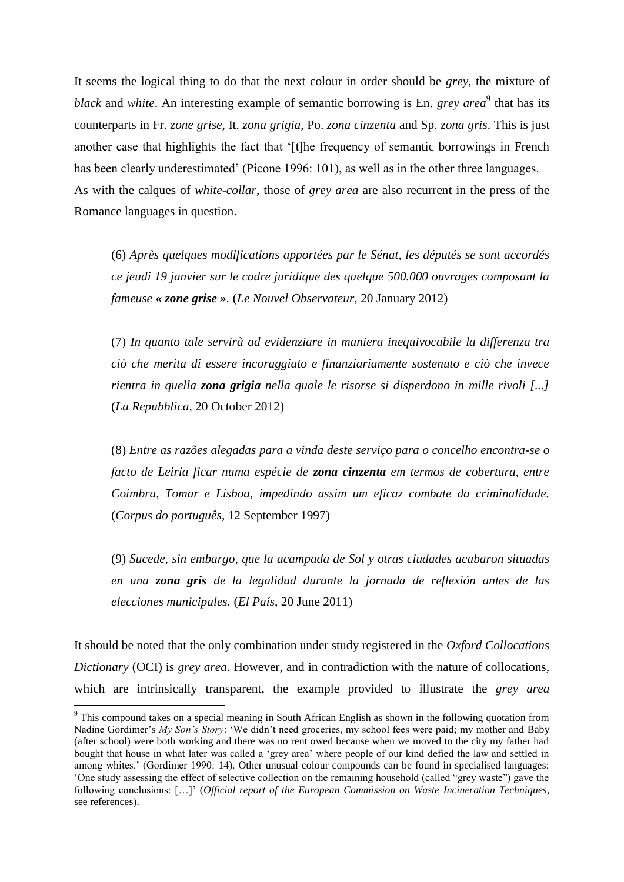It seems the logical thing to do that the next colour in order should be *grey*, the mixture of black and *white*. An interesting example of semantic borrowing is En. *grey area*<sup>9</sup> that has its counterparts in Fr. *zone grise*, It. *zona grigia*, Po. *zona cinzenta* and Sp. *zona gris*. This is just another case that highlights the fact that '[t]he frequency of semantic borrowings in French has been clearly underestimated' (Picone 1996: 101), as well as in the other three languages. As with the calques of *white-collar*, those of *grey area* are also recurrent in the press of the Romance languages in question.

(6) *Après quelques modifications apportées par le Sénat, les députés se sont accordés ce jeudi 19 janvier sur le cadre juridique des quelque 500.000 ouvrages composant la fameuse « zone grise ».* (*Le Nouvel Observateur*, 20 January 2012)

(7) *In quanto tale servirà ad evidenziare in maniera inequivocabile la differenza tra ciò che merita di essere incoraggiato e finanziariamente sostenuto e ciò che invece rientra in quella zona grigia nella quale le risorse si disperdono in mille rivoli [...]*  (*La Repubblica*, 20 October 2012)

(8) *Entre as razões alegadas para a vinda deste serviço para o concelho encontra-se o facto de Leiria ficar numa espécie de zona cinzenta em termos de cobertura, entre Coimbra, Tomar e Lisboa, impedindo assim um eficaz combate da criminalidade.* (*Corpus do português*, 12 September 1997)

(9) *Sucede, sin embargo, que la acampada de Sol y otras ciudades acabaron situadas en una zona gris de la legalidad durante la jornada de reflexión antes de las elecciones municipales.* (*El País*, 20 June 2011)

It should be noted that the only combination under study registered in the *Oxford Collocations Dictionary* (OCI) is *grey area*. However, and in contradiction with the nature of collocations, which are intrinsically transparent, the example provided to illustrate the *grey area*

<u>.</u>

<sup>9</sup> This compound takes on a special meaning in South African English as shown in the following quotation from Nadine Gordimer's *My Son's Story*: 'We didn't need groceries, my school fees were paid; my mother and Baby (after school) were both working and there was no rent owed because when we moved to the city my father had bought that house in what later was called a 'grey area' where people of our kind defied the law and settled in among whites.' (Gordimer 1990: 14). Other unusual colour compounds can be found in specialised languages: 'One study assessing the effect of selective collection on the remaining household (called "grey waste") gave the following conclusions: […]' (*Official report of the European Commission on Waste Incineration Techniques*, see references).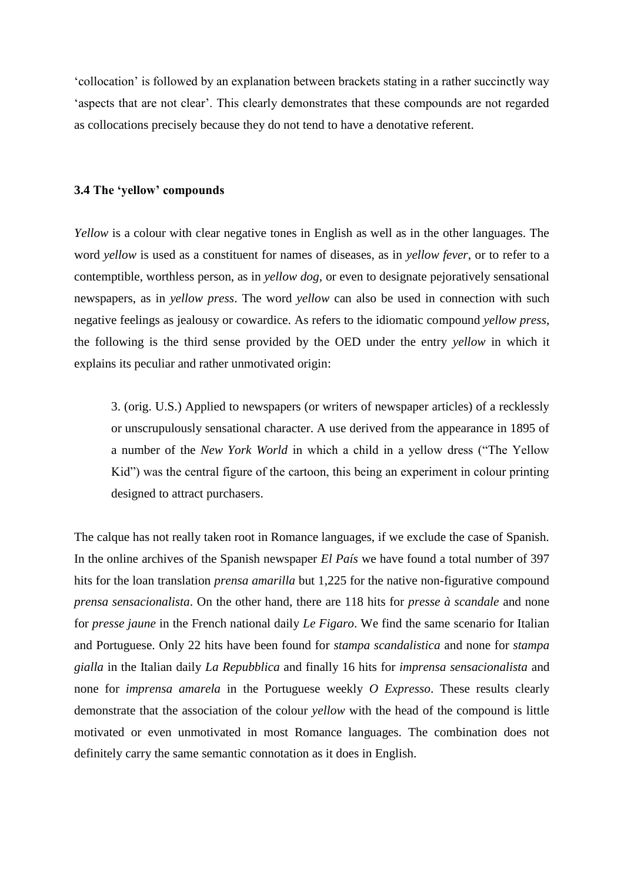'collocation' is followed by an explanation between brackets stating in a rather succinctly way 'aspects that are not clear'. This clearly demonstrates that these compounds are not regarded as collocations precisely because they do not tend to have a denotative referent.

#### **3.4 The 'yellow' compounds**

*Yellow* is a colour with clear negative tones in English as well as in the other languages. The word *yellow* is used as a constituent for names of diseases, as in *yellow fever*, or to refer to a contemptible, worthless person, as in *yellow dog*, or even to designate pejoratively sensational newspapers, as in *yellow press*. The word *yellow* can also be used in connection with such negative feelings as jealousy or cowardice. As refers to the idiomatic compound *yellow press*, the following is the third sense provided by the OED under the entry *yellow* in which it explains its peculiar and rather unmotivated origin:

3. (orig. U.S.) Applied to newspapers (or writers of newspaper articles) of a recklessly or unscrupulously sensational character. A use derived from the appearance in 1895 of a number of the *New York World* in which a child in a yellow dress ("The Yellow Kid") was the central figure of the cartoon, this being an experiment in colour printing designed to attract purchasers.

The calque has not really taken root in Romance languages, if we exclude the case of Spanish. In the online archives of the Spanish newspaper *El País* we have found a total number of 397 hits for the loan translation *prensa amarilla* but 1,225 for the native non-figurative compound *prensa sensacionalista*. On the other hand, there are 118 hits for *presse à scandale* and none for *presse jaune* in the French national daily *Le Figaro*. We find the same scenario for Italian and Portuguese. Only 22 hits have been found for *stampa scandalistica* and none for *stampa gialla* in the Italian daily *La Repubblica* and finally 16 hits for *imprensa sensacionalista* and none for *imprensa amarela* in the Portuguese weekly *O Expresso*. These results clearly demonstrate that the association of the colour *yellow* with the head of the compound is little motivated or even unmotivated in most Romance languages. The combination does not definitely carry the same semantic connotation as it does in English.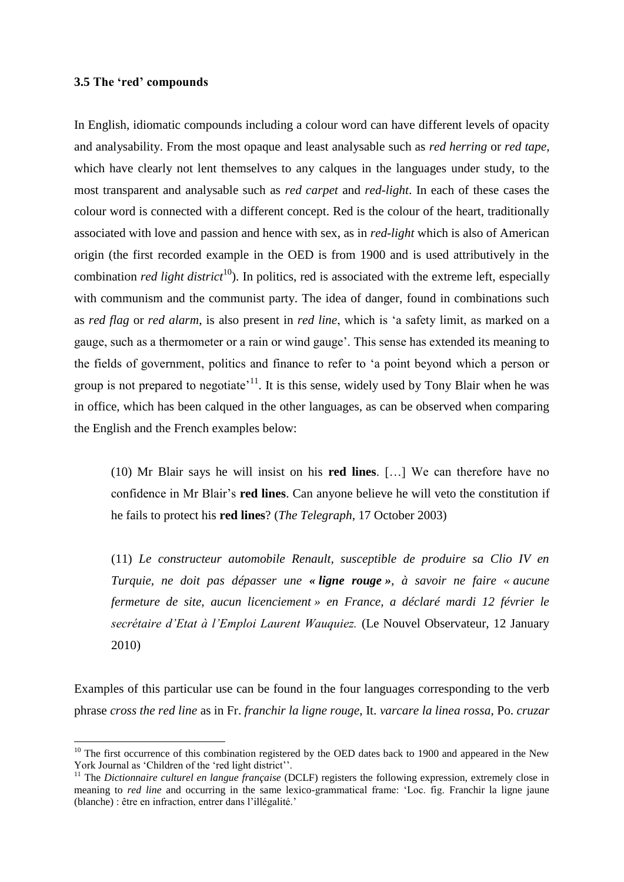#### **3.5 The 'red' compounds**

<u>.</u>

In English, idiomatic compounds including a colour word can have different levels of opacity and analysability. From the most opaque and least analysable such as *red herring* or *red tape*, which have clearly not lent themselves to any calques in the languages under study, to the most transparent and analysable such as *red carpet* and *red-light*. In each of these cases the colour word is connected with a different concept. Red is the colour of the heart, traditionally associated with love and passion and hence with sex, as in *red-light* which is also of American origin (the first recorded example in the OED is from 1900 and is used attributively in the combination *red light district*<sup>10</sup>). In politics, red is associated with the extreme left, especially with communism and the communist party. The idea of danger, found in combinations such as *red flag* or *red alarm*, is also present in *red line*, which is 'a safety limit, as marked on a gauge, such as a thermometer or a rain or wind gauge'. This sense has extended its meaning to the fields of government, politics and finance to refer to 'a point beyond which a person or group is not prepared to negotiate<sup> $11$ </sup>. It is this sense, widely used by Tony Blair when he was in office, which has been calqued in the other languages, as can be observed when comparing the English and the French examples below:

(10) Mr Blair says he will insist on his **red lines**. […] We can therefore have no confidence in Mr Blair's **red lines**. Can anyone believe he will veto the constitution if he fails to protect his **red lines**? (*The Telegraph*, 17 October 2003)

(11) *Le constructeur automobile Renault, susceptible de produire sa Clio IV en Turquie, ne doit pas dépasser une « ligne rouge », à savoir ne faire « aucune fermeture de site, aucun licenciement » en France, a déclaré mardi 12 février le secrétaire d'Etat à l'Emploi Laurent Wauquiez.* (Le Nouvel Observateur, 12 January 2010)

Examples of this particular use can be found in the four languages corresponding to the verb phrase *cross the red line* as in Fr. *franchir la ligne rouge*, It. *varcare la linea rossa*, Po. *cruzar* 

 $10$  The first occurrence of this combination registered by the OED dates back to 1900 and appeared in the New York Journal as 'Children of the 'red light district''.

<sup>&</sup>lt;sup>11</sup> The *Dictionnaire culturel en langue française* (DCLF) registers the following expression, extremely close in meaning to *red line* and occurring in the same lexico-grammatical frame: 'Loc. fig. Franchir la ligne jaune (blanche) : être en infraction, entrer dans l'illégalité.'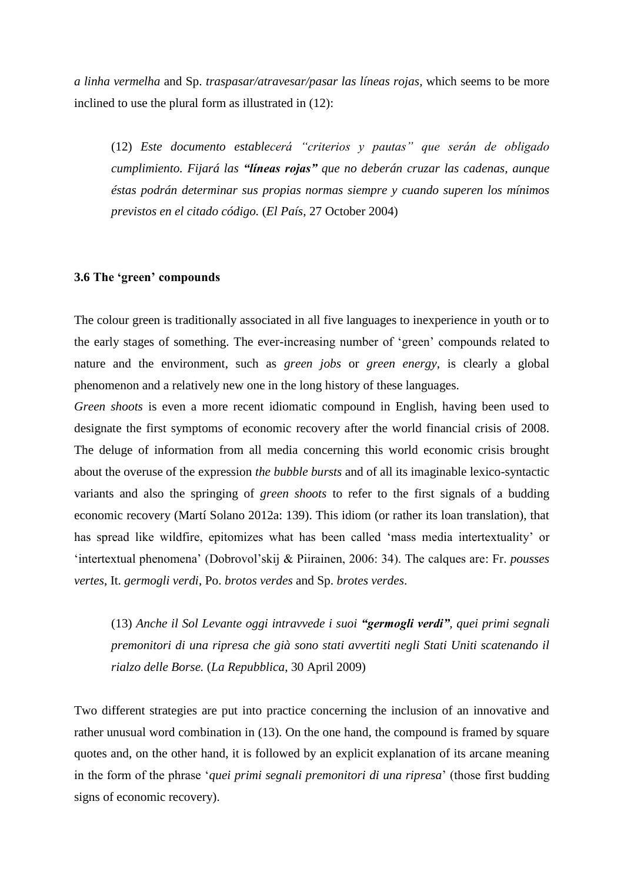*a linha vermelha* and Sp. *traspasar/atravesar/pasar las líneas rojas*, which seems to be more inclined to use the plural form as illustrated in (12):

(12) *Este documento establecerá "criterios y pautas" que serán de obligado cumplimiento. Fijará las "líneas rojas" que no deberán cruzar las cadenas, aunque éstas podrán determinar sus propias normas siempre y cuando superen los mínimos previstos en el citado código.* (*El País*, 27 October 2004)

#### **3.6 The 'green' compounds**

The colour green is traditionally associated in all five languages to inexperience in youth or to the early stages of something. The ever-increasing number of 'green' compounds related to nature and the environment, such as *green jobs* or *green energy*, is clearly a global phenomenon and a relatively new one in the long history of these languages.

*Green shoots* is even a more recent idiomatic compound in English, having been used to designate the first symptoms of economic recovery after the world financial crisis of 2008. The deluge of information from all media concerning this world economic crisis brought about the overuse of the expression *the bubble bursts* and of all its imaginable lexico-syntactic variants and also the springing of *green shoots* to refer to the first signals of a budding economic recovery (Martí Solano 2012a: 139). This idiom (or rather its loan translation), that has spread like wildfire, epitomizes what has been called 'mass media intertextuality' or 'intertextual phenomena' (Dobrovol'skij & Piirainen, 2006: 34). The calques are: Fr. *pousses vertes*, It. *germogli verdi*, Po. *brotos verdes* and Sp. *brotes verdes*.

(13) *Anche il Sol Levante oggi intravvede i suoi "germogli verdi", quei primi segnali premonitori di una ripresa che già sono stati avvertiti negli Stati Uniti scatenando il rialzo delle Borse.* (*La Repubblica*, 30 April 2009)

Two different strategies are put into practice concerning the inclusion of an innovative and rather unusual word combination in (13). On the one hand, the compound is framed by square quotes and, on the other hand, it is followed by an explicit explanation of its arcane meaning in the form of the phrase '*quei primi segnali premonitori di una ripresa*' (those first budding signs of economic recovery).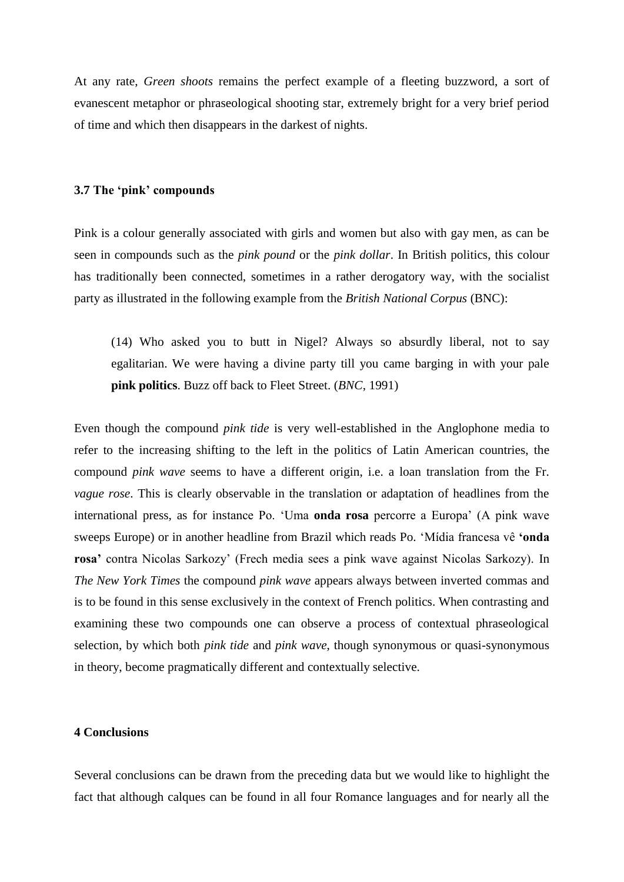At any rate, *Green shoots* remains the perfect example of a fleeting buzzword, a sort of evanescent metaphor or phraseological shooting star, extremely bright for a very brief period of time and which then disappears in the darkest of nights.

#### **3.7 The 'pink' compounds**

Pink is a colour generally associated with girls and women but also with gay men, as can be seen in compounds such as the *pink pound* or the *pink dollar*. In British politics, this colour has traditionally been connected, sometimes in a rather derogatory way, with the socialist party as illustrated in the following example from the *British National Corpus* (BNC):

(14) Who asked you to butt in Nigel? Always so absurdly liberal, not to say egalitarian. We were having a divine party till you came barging in with your pale **pink politics**. Buzz off back to Fleet Street. (*BNC*, 1991)

Even though the compound *pink tide* is very well-established in the Anglophone media to refer to the increasing shifting to the left in the politics of Latin American countries, the compound *pink wave* seems to have a different origin, i.e. a loan translation from the Fr. *vague rose*. This is clearly observable in the translation or adaptation of headlines from the international press, as for instance Po. 'Uma **onda rosa** percorre a Europa' (A pink wave sweeps Europe) or in another headline from Brazil which reads Po. 'Mídia francesa vê **'onda rosa'** contra Nicolas Sarkozy' (Frech media sees a pink wave against Nicolas Sarkozy). In *The New York Times* the compound *pink wave* appears always between inverted commas and is to be found in this sense exclusively in the context of French politics. When contrasting and examining these two compounds one can observe a process of contextual phraseological selection, by which both *pink tide* and *pink wave*, though synonymous or quasi-synonymous in theory, become pragmatically different and contextually selective.

#### **4 Conclusions**

Several conclusions can be drawn from the preceding data but we would like to highlight the fact that although calques can be found in all four Romance languages and for nearly all the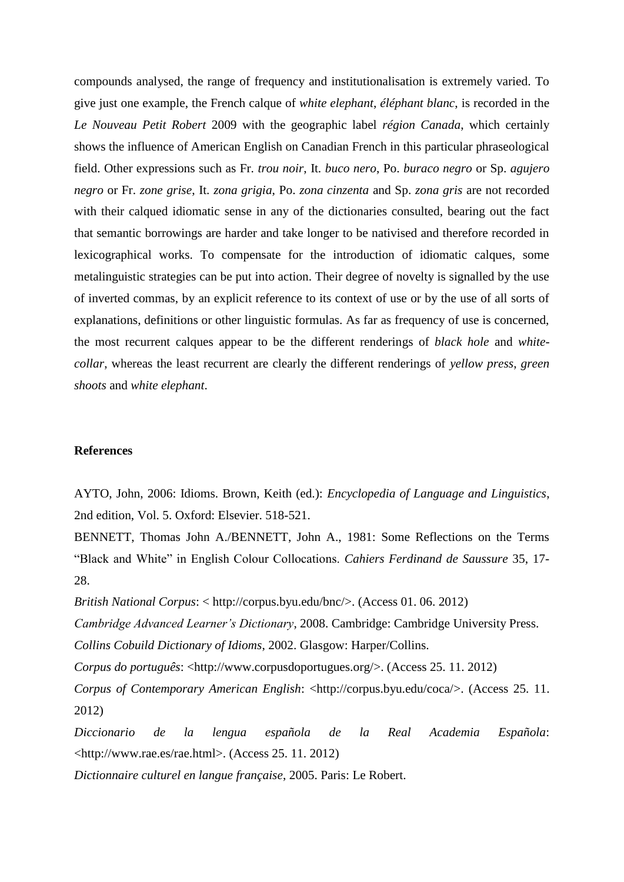compounds analysed, the range of frequency and institutionalisation is extremely varied. To give just one example, the French calque of *white elephant*, *éléphant blanc*, is recorded in the *Le Nouveau Petit Robert* 2009 with the geographic label *région Canada*, which certainly shows the influence of American English on Canadian French in this particular phraseological field. Other expressions such as Fr. *trou noir*, It. *buco nero*, Po. *buraco negro* or Sp. *agujero negro* or Fr. *zone grise*, It. *zona grigia*, Po. *zona cinzenta* and Sp. *zona gris* are not recorded with their calqued idiomatic sense in any of the dictionaries consulted, bearing out the fact that semantic borrowings are harder and take longer to be nativised and therefore recorded in lexicographical works. To compensate for the introduction of idiomatic calques, some metalinguistic strategies can be put into action. Their degree of novelty is signalled by the use of inverted commas, by an explicit reference to its context of use or by the use of all sorts of explanations, definitions or other linguistic formulas. As far as frequency of use is concerned, the most recurrent calques appear to be the different renderings of *black hole* and *whitecollar*, whereas the least recurrent are clearly the different renderings of *yellow press*, *green shoots* and *white elephant*.

#### **References**

AYTO, John, 2006: Idioms. Brown, Keith (ed.): *Encyclopedia of Language and Linguistics*, 2nd edition, Vol. 5. Oxford: Elsevier. 518-521.

BENNETT, Thomas John A./BENNETT, John A., 1981: Some Reflections on the Terms "Black and White" in English Colour Collocations. *Cahiers Ferdinand de Saussure* 35, 17- 28.

*British National Corpus*: < [http://corpus.byu.edu/bnc/>](http://corpus.byu.edu/bnc/). (Access 01. 06. 2012)

*Cambridge Advanced Learner's Dictionary*, 2008. Cambridge: Cambridge University Press.

*Collins Cobuild Dictionary of Idioms*, 2002. Glasgow: Harper/Collins.

*Corpus do português*: [<http://www.corpusdoportugues.org/>](http://www.corpusdoportugues.org/). (Access 25. 11. 2012)

*Corpus of Contemporary American English*: [<http://corpus.byu.edu/coca/>](http://corpus.byu.edu/coca/). (Access 25. 11. 2012)

*Diccionario de la lengua española de la Real Academia Española*: [<http://www.rae.es/r](http://www.rae.es/)ae.html>. (Access 25. 11. 2012)

*Dictionnaire culturel en langue française*, 2005. Paris: Le Robert.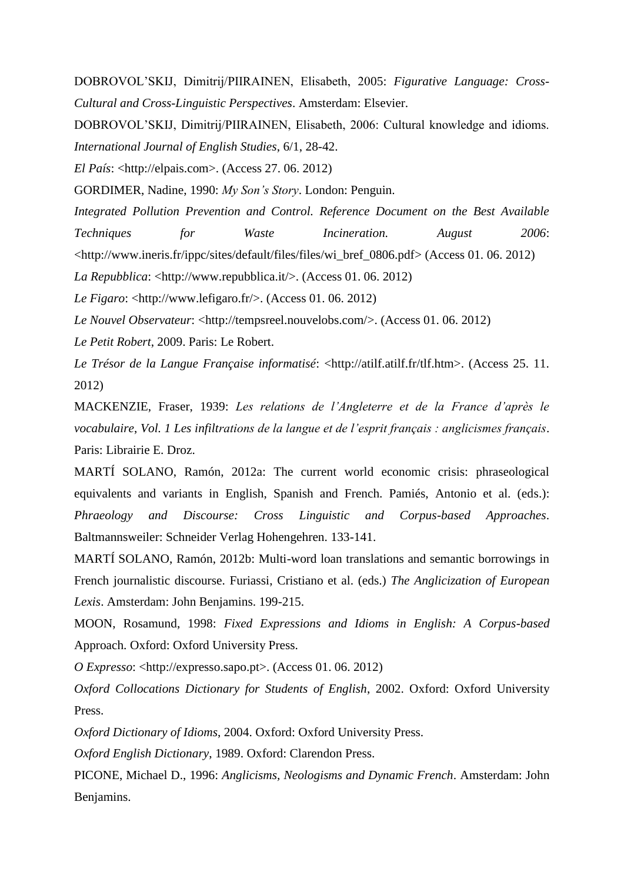DOBROVOL'SKIJ, Dimitrij/PIIRAINEN, Elisabeth, 2005: *Figurative Language: Cross-Cultural and Cross-Linguistic Perspectives*. Amsterdam: Elsevier.

DOBROVOL'SKIJ, Dimitrij/PIIRAINEN, Elisabeth, 2006: Cultural knowledge and idioms. *International Journal of English Studies*, 6/1, 28-42.

*El País*: [<http://elpais.com>](http://elpais.com/). (Access 27. 06. 2012)

GORDIMER, Nadine, 1990: *My Son's Story*. London: Penguin.

*Integrated Pollution Prevention and Control. Reference Document on the Best Available Techniques for Waste Incineration. August 2006*:

[<http://www.ineris.fr/ippc/sites/default/files/files/wi\\_bref\\_0806.pdf>](http://www.ineris.fr/ippc/sites/default/files/files/wi_bref_0806.pdf) (Access 01. 06. 2012)

*La Repubblica*: [<http://www.repubblica.it/>](http://www.repubblica.it/). (Access 01. 06. 2012)

*Le Figaro*: [<http://www.lefigaro.fr/>](http://www.lefigaro.fr/). (Access 01. 06. 2012)

*Le Nouvel Observateur:* [<http://tempsreel.nouvelobs.com/>](http://tempsreel.nouvelobs.com/). (Access 01. 06. 2012)

*Le Petit Robert*, 2009. Paris: Le Robert.

*Le Trésor de la Langue Française informatisé*: <http://atilf.atilf.fr/tlf.htm>. (Access 25. 11. 2012)

MACKENZIE, Fraser, 1939: *Les relations de l'Angleterre et de la France d'après le vocabulaire*, *Vol. 1 Les infiltrations de la langue et de l'esprit français : anglicismes français*. Paris: Librairie E. Droz.

MARTÍ SOLANO, Ramón, 2012a: The current world economic crisis: phraseological equivalents and variants in English, Spanish and French. Pamiés, Antonio et al. (eds.): *Phraeology and Discourse: Cross Linguistic and Corpus-based Approaches*. Baltmannsweiler: Schneider Verlag Hohengehren. 133-141.

MARTÍ SOLANO, Ramón, 2012b: Multi-word loan translations and semantic borrowings in French journalistic discourse. Furiassi, Cristiano et al. (eds.) *The Anglicization of European Lexis*. Amsterdam: John Benjamins. 199-215.

MOON, Rosamund, 1998: *Fixed Expressions and Idioms in English: A Corpus-based*  Approach. Oxford: Oxford University Press.

*O Expresso*: [<http://expresso.sapo.pt>](http://expresso.sapo.pt/). (Access 01. 06. 2012)

*Oxford Collocations Dictionary for Students of English*, 2002. Oxford: Oxford University Press.

*Oxford Dictionary of Idioms*, 2004. Oxford: Oxford University Press.

*Oxford English Dictionary*, 1989. Oxford: Clarendon Press.

PICONE, Michael D., 1996: *Anglicisms, Neologisms and Dynamic French*. Amsterdam: John Benjamins.